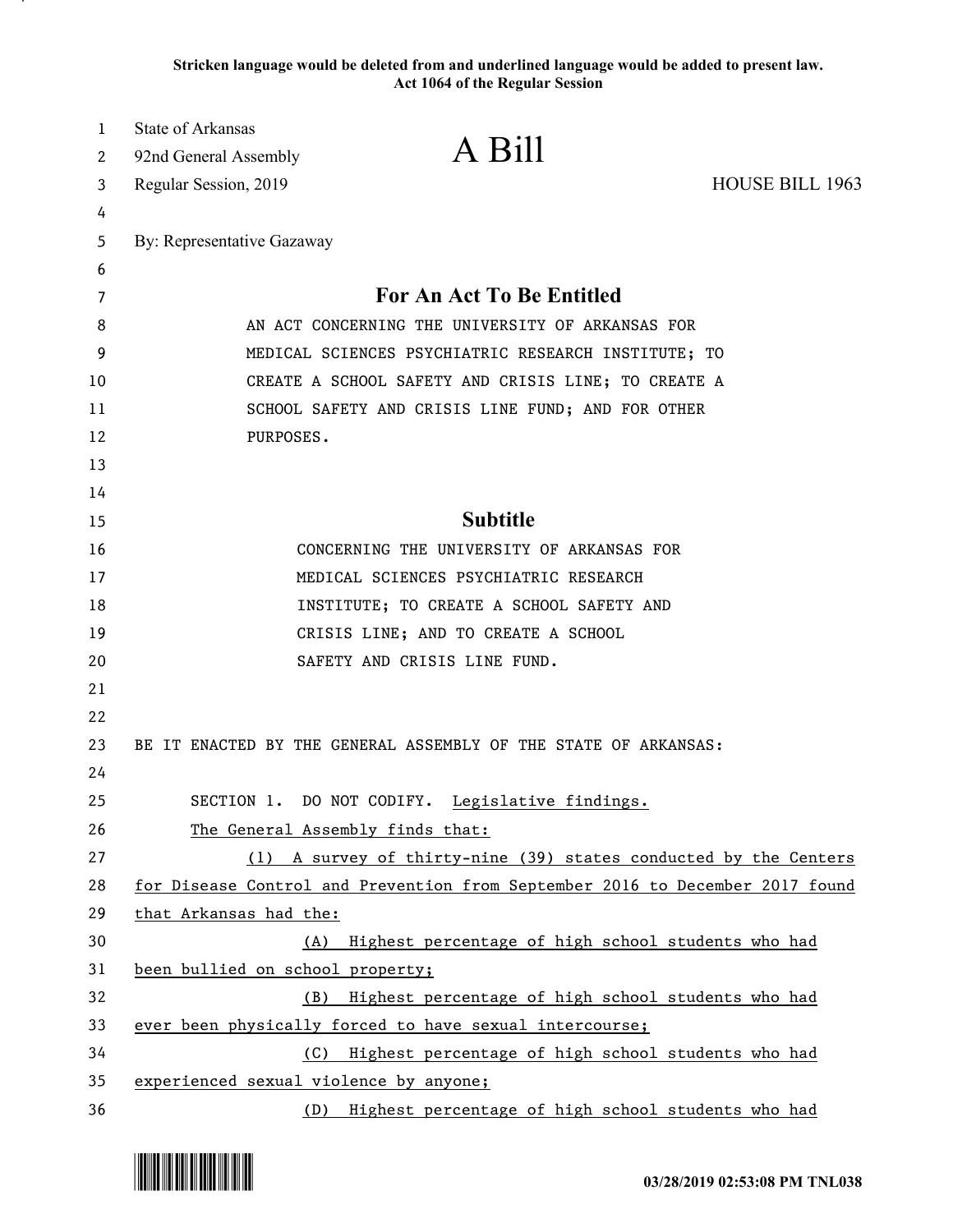**Stricken language would be deleted from and underlined language would be added to present law. Act 1064 of the Regular Session**

| 1  | State of Arkansas                      |                                                                               |                        |
|----|----------------------------------------|-------------------------------------------------------------------------------|------------------------|
| 2  | 92nd General Assembly                  | A Bill                                                                        |                        |
| 3  | Regular Session, 2019                  |                                                                               | <b>HOUSE BILL 1963</b> |
| 4  |                                        |                                                                               |                        |
| 5  | By: Representative Gazaway             |                                                                               |                        |
| 6  |                                        |                                                                               |                        |
| 7  |                                        | For An Act To Be Entitled                                                     |                        |
| 8  |                                        | AN ACT CONCERNING THE UNIVERSITY OF ARKANSAS FOR                              |                        |
| 9  |                                        | MEDICAL SCIENCES PSYCHIATRIC RESEARCH INSTITUTE; TO                           |                        |
| 10 |                                        | CREATE A SCHOOL SAFETY AND CRISIS LINE; TO CREATE A                           |                        |
| 11 |                                        | SCHOOL SAFETY AND CRISIS LINE FUND; AND FOR OTHER                             |                        |
| 12 | PURPOSES.                              |                                                                               |                        |
| 13 |                                        |                                                                               |                        |
| 14 |                                        |                                                                               |                        |
| 15 |                                        | <b>Subtitle</b>                                                               |                        |
| 16 |                                        | CONCERNING THE UNIVERSITY OF ARKANSAS FOR                                     |                        |
| 17 |                                        | MEDICAL SCIENCES PSYCHIATRIC RESEARCH                                         |                        |
| 18 |                                        | INSTITUTE; TO CREATE A SCHOOL SAFETY AND                                      |                        |
| 19 |                                        | CRISIS LINE; AND TO CREATE A SCHOOL                                           |                        |
| 20 |                                        | SAFETY AND CRISIS LINE FUND.                                                  |                        |
| 21 |                                        |                                                                               |                        |
| 22 |                                        |                                                                               |                        |
| 23 |                                        | BE IT ENACTED BY THE GENERAL ASSEMBLY OF THE STATE OF ARKANSAS:               |                        |
| 24 |                                        |                                                                               |                        |
| 25 |                                        | SECTION 1. DO NOT CODIFY. Legislative findings.                               |                        |
| 26 |                                        | The General Assembly finds that:                                              |                        |
| 27 | (1)                                    | A survey of thirty-nine (39) states conducted by the Centers                  |                        |
| 28 |                                        | for Disease Control and Prevention from September 2016 to December 2017 found |                        |
| 29 | that Arkansas had the:                 |                                                                               |                        |
| 30 |                                        | (A) Highest percentage of high school students who had                        |                        |
| 31 | been bullied on school property;       |                                                                               |                        |
| 32 | (B)                                    | Highest percentage of high school students who had                            |                        |
| 33 |                                        | ever been physically forced to have sexual intercourse;                       |                        |
| 34 | (C)                                    | Highest percentage of high school students who had                            |                        |
| 35 | experienced sexual violence by anyone; |                                                                               |                        |
| 36 | (D)                                    | Highest percentage of high school students who had                            |                        |

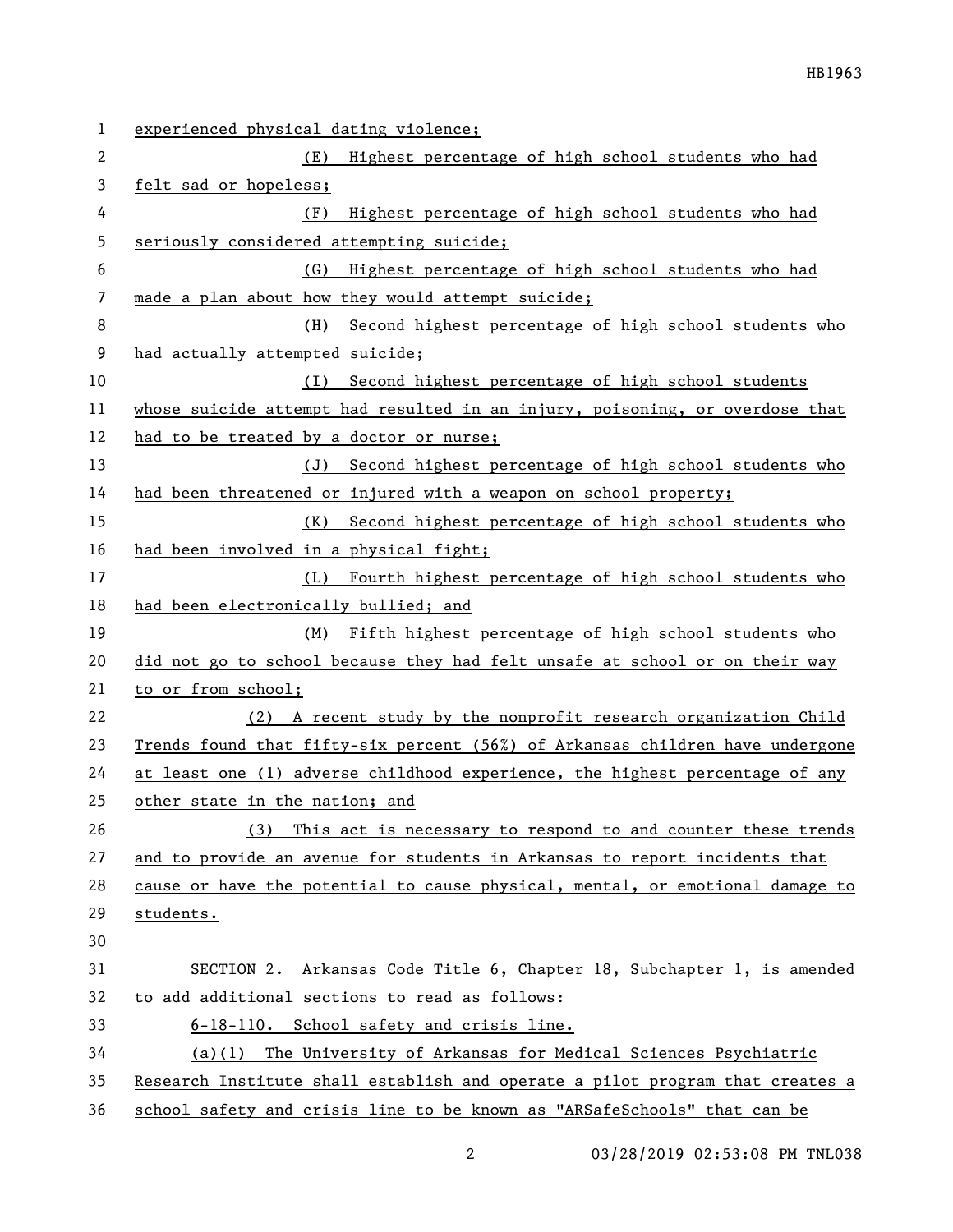| 1  | experienced physical dating violence;                                         |
|----|-------------------------------------------------------------------------------|
| 2  | (E) Highest percentage of high school students who had                        |
| 3  | felt sad or hopeless;                                                         |
| 4  | Highest percentage of high school students who had<br>(F)                     |
| 5  | seriously considered attempting suicide;                                      |
| 6  | Highest percentage of high school students who had<br>(G)                     |
| 7  | made a plan about how they would attempt suicide;                             |
| 8  | (H)<br>Second highest percentage of high school students who                  |
| 9  | had actually attempted suicide;                                               |
| 10 | (I) Second highest percentage of high school students                         |
| 11 | whose suicide attempt had resulted in an injury, poisoning, or overdose that  |
| 12 | had to be treated by a doctor or nurse;                                       |
| 13 | (J) Second highest percentage of high school students who                     |
| 14 | had been threatened or injured with a weapon on school property;              |
| 15 | (K) Second highest percentage of high school students who                     |
| 16 | had been involved in a physical fight;                                        |
| 17 | (L) Fourth highest percentage of high school students who                     |
| 18 | had been electronically bullied; and                                          |
| 19 | (M) Fifth highest percentage of high school students who                      |
| 20 | did not go to school because they had felt unsafe at school or on their way   |
| 21 | to or from school;                                                            |
| 22 | (2) A recent study by the nonprofit research organization Child               |
| 23 | Trends found that fifty-six percent (56%) of Arkansas children have undergone |
| 24 | at least one (1) adverse childhood experience, the highest percentage of any  |
| 25 | other state in the nation; and                                                |
| 26 | This act is necessary to respond to and counter these trends<br>(3)           |
| 27 | and to provide an avenue for students in Arkansas to report incidents that    |
| 28 | cause or have the potential to cause physical, mental, or emotional damage to |
| 29 | students.                                                                     |
| 30 |                                                                               |
| 31 | SECTION 2. Arkansas Code Title 6, Chapter 18, Subchapter 1, is amended        |
| 32 | to add additional sections to read as follows:                                |
| 33 | 6-18-110. School safety and crisis line.                                      |
| 34 | (a)(1) The University of Arkansas for Medical Sciences Psychiatric            |
| 35 | Research Institute shall establish and operate a pilot program that creates a |
| 36 | school safety and crisis line to be known as "ARSafeSchools" that can be      |

03/28/2019 02:53:08 PM TNL038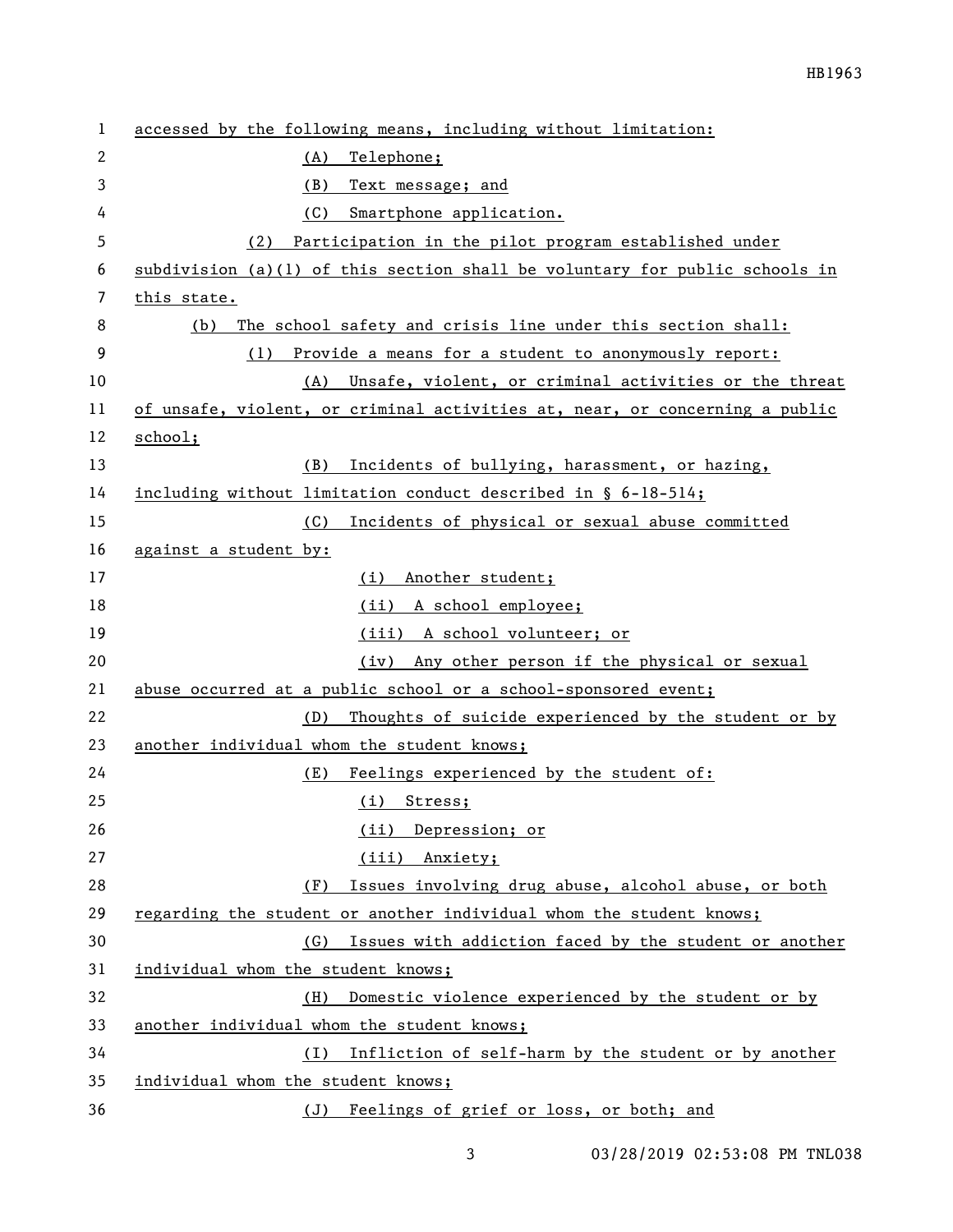| 1  | accessed by the following means, including without limitation:              |
|----|-----------------------------------------------------------------------------|
| 2  | Telephone;<br>(A)                                                           |
| 3  | (B)<br>Text message; and                                                    |
| 4  | (C)<br>Smartphone application.                                              |
| 5  | Participation in the pilot program established under<br>(2)                 |
| 6  | subdivision (a)(1) of this section shall be voluntary for public schools in |
| 7  | this state.                                                                 |
| 8  | The school safety and crisis line under this section shall:<br>(b)          |
| 9  | (1) Provide a means for a student to anonymously report:                    |
| 10 | Unsafe, violent, or criminal activities or the threat<br>(A)                |
| 11 | of unsafe, violent, or criminal activities at, near, or concerning a public |
| 12 | school;                                                                     |
| 13 | (B)<br>Incidents of bullying, harassment, or hazing,                        |
| 14 | including without limitation conduct described in § 6-18-514;               |
| 15 | Incidents of physical or sexual abuse committed<br>(C)                      |
| 16 | against a student by:                                                       |
| 17 | Another student;<br>(i)                                                     |
| 18 | (ii) A school employee;                                                     |
| 19 | (iii) A school volunteer; or                                                |
| 20 | Any other person if the physical or sexual<br>(iv)                          |
| 21 | abuse occurred at a public school or a school-sponsored event;              |
| 22 | Thoughts of suicide experienced by the student or by<br>(D)                 |
| 23 | another individual whom the student knows;                                  |
| 24 | (E)<br>Feelings experienced by the student of:                              |
| 25 | (i) Stress;                                                                 |
| 26 | (ii) Depression; or                                                         |
| 27 | Anxiety;<br>(iii)                                                           |
| 28 | Issues involving drug abuse, alcohol abuse, or both<br>(F)                  |
| 29 | regarding the student or another individual whom the student knows;         |
| 30 | Issues with addiction faced by the student or another<br>(G)                |
| 31 | individual whom the student knows;                                          |
| 32 | Domestic violence experienced by the student or by<br>(H)                   |
| 33 | another individual whom the student knows;                                  |
| 34 | Infliction of self-harm by the student or by another<br>(1)                 |
| 35 | individual whom the student knows;                                          |
| 36 | (J) Feelings of grief or loss, or both; and                                 |

3 03/28/2019 02:53:08 PM TNL038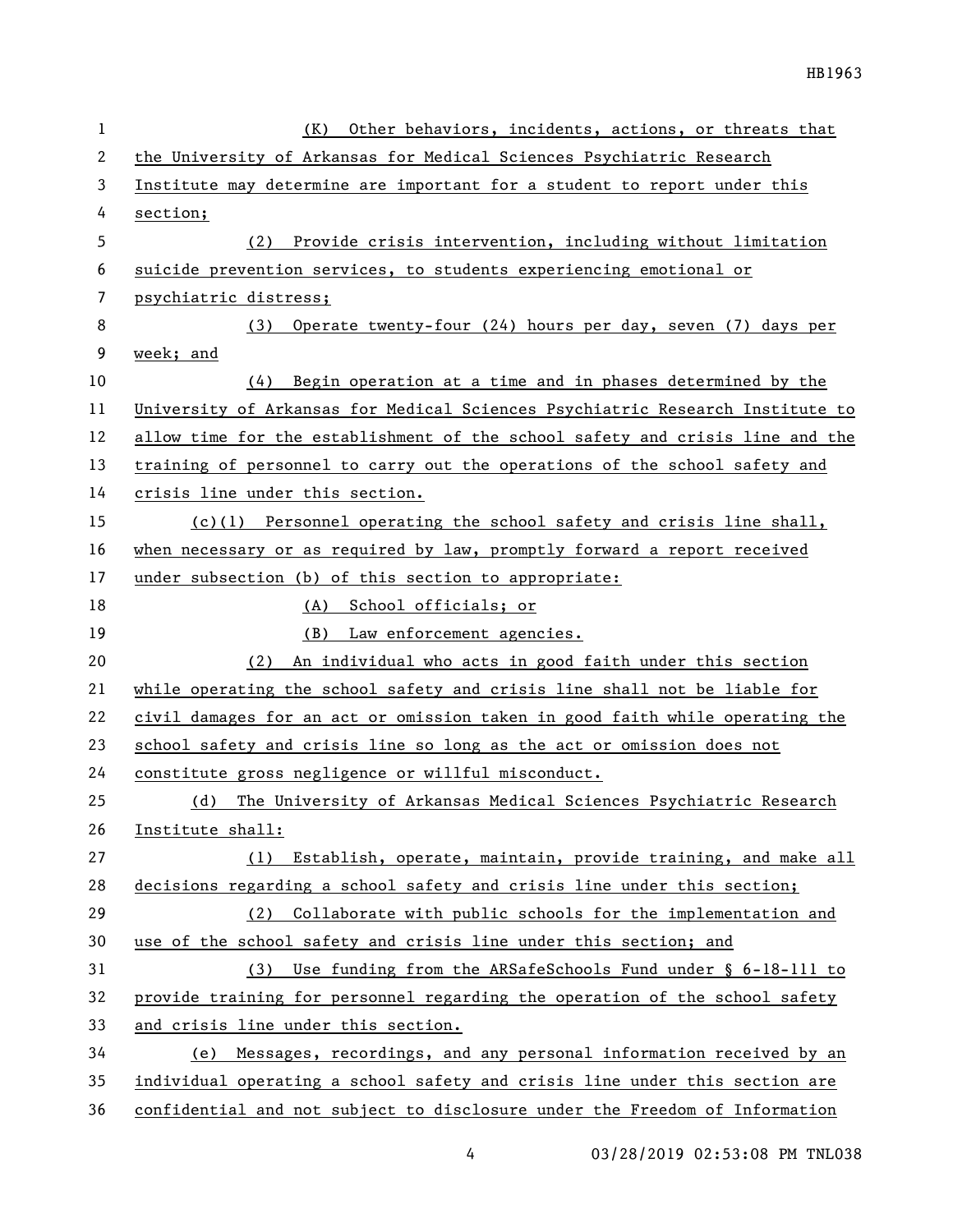| 1  | Other behaviors, incidents, actions, or threats that<br>(K)                   |
|----|-------------------------------------------------------------------------------|
| 2  | the University of Arkansas for Medical Sciences Psychiatric Research          |
| 3  | Institute may determine are important for a student to report under this      |
| 4  | section;                                                                      |
| 5  | (2) Provide crisis intervention, including without limitation                 |
| 6  | suicide prevention services, to students experiencing emotional or            |
| 7  | psychiatric distress;                                                         |
| 8  | Operate twenty-four (24) hours per day, seven (7) days per<br>(3)             |
| 9  | week; and                                                                     |
| 10 | Begin operation at a time and in phases determined by the<br>(4)              |
| 11 | University of Arkansas for Medical Sciences Psychiatric Research Institute to |
| 12 | allow time for the establishment of the school safety and crisis line and the |
| 13 | training of personnel to carry out the operations of the school safety and    |
| 14 | crisis line under this section.                                               |
| 15 | $(c)(1)$ Personnel operating the school safety and crisis line shall,         |
| 16 | when necessary or as required by law, promptly forward a report received      |
| 17 | under subsection (b) of this section to appropriate:                          |
| 18 | (A) School officials; or                                                      |
| 19 | (B) Law enforcement agencies.                                                 |
| 20 | An individual who acts in good faith under this section<br>(2)                |
| 21 | while operating the school safety and crisis line shall not be liable for     |
| 22 | civil damages for an act or omission taken in good faith while operating the  |
| 23 | school safety and crisis line so long as the act or omission does not         |
| 24 | constitute gross negligence or willful misconduct.                            |
| 25 | The University of Arkansas Medical Sciences Psychiatric Research<br>(d)       |
| 26 | Institute shall:                                                              |
| 27 | Establish, operate, maintain, provide training, and make all<br>(1)           |
| 28 | decisions regarding a school safety and crisis line under this section;       |
| 29 | Collaborate with public schools for the implementation and<br>(2)             |
| 30 | use of the school safety and crisis line under this section; and              |
| 31 | (3) Use funding from the ARSafeSchools Fund under § 6-18-111 to               |
| 32 | provide training for personnel regarding the operation of the school safety   |
| 33 | and crisis line under this section.                                           |
| 34 | (e) Messages, recordings, and any personal information received by an         |
| 35 | individual operating a school safety and crisis line under this section are   |
| 36 | confidential and not subject to disclosure under the Freedom of Information   |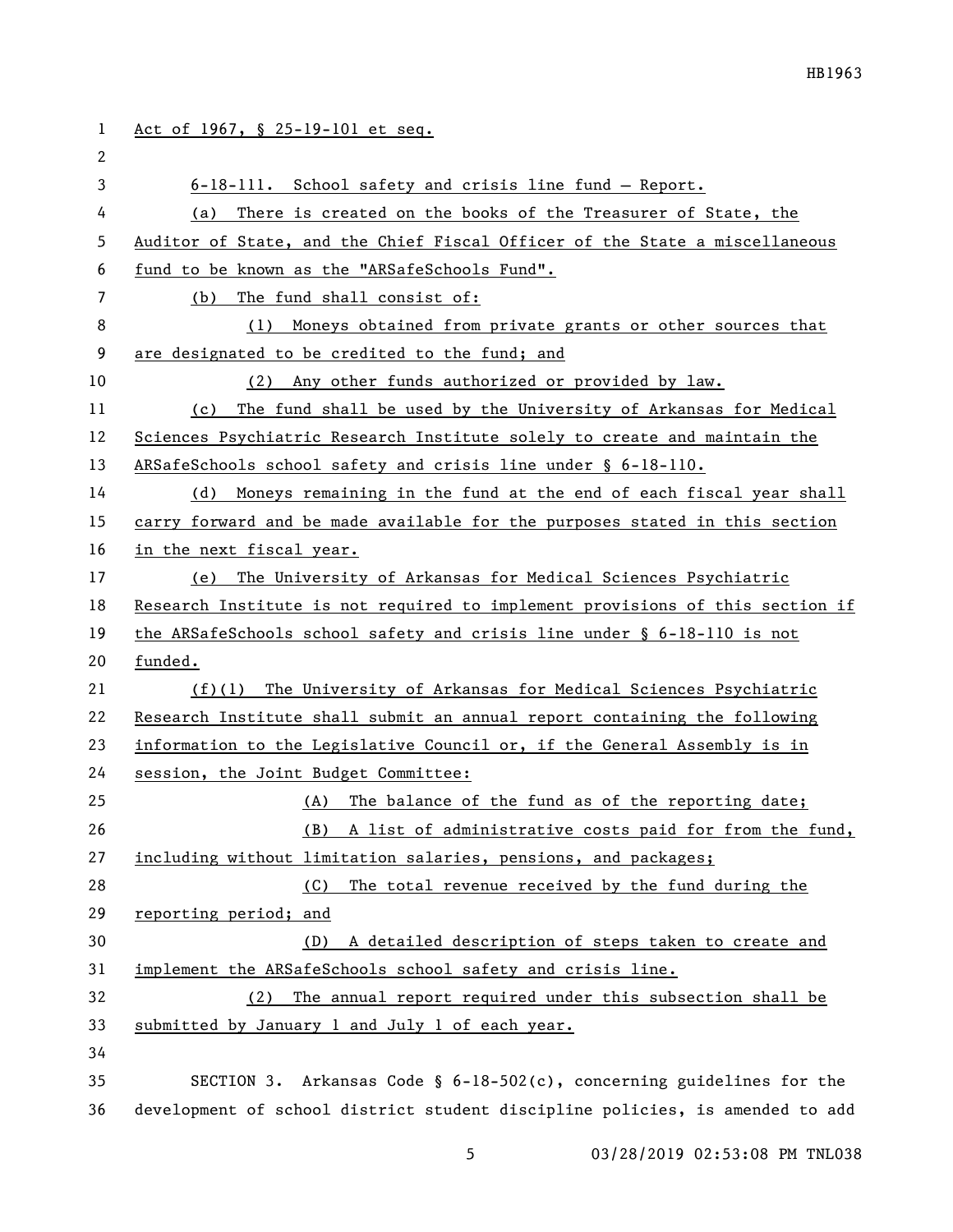| $\mathbf{1}$ | Act of 1967, § 25-19-101 et seq.                                              |
|--------------|-------------------------------------------------------------------------------|
| 2            |                                                                               |
| 3            | 6-18-111. School safety and crisis line fund - Report.                        |
| 4            | There is created on the books of the Treasurer of State, the<br>(a)           |
| 5            | Auditor of State, and the Chief Fiscal Officer of the State a miscellaneous   |
| 6            | fund to be known as the "ARSafeSchools Fund".                                 |
| 7            | The fund shall consist of:<br>(b)                                             |
| 8            | Moneys obtained from private grants or other sources that<br>(1)              |
| 9            | are designated to be credited to the fund; and                                |
| 10           | (2) Any other funds authorized or provided by law.                            |
| 11           | The fund shall be used by the University of Arkansas for Medical<br>(c)       |
| 12           | Sciences Psychiatric Research Institute solely to create and maintain the     |
| 13           | ARSafeSchools school safety and crisis line under § 6-18-110.                 |
| 14           | Moneys remaining in the fund at the end of each fiscal year shall<br>(d)      |
| 15           | carry forward and be made available for the purposes stated in this section   |
| 16           | in the next fiscal year.                                                      |
| 17           | (e) The University of Arkansas for Medical Sciences Psychiatric               |
| 18           | Research Institute is not required to implement provisions of this section if |
| 19           | the ARSafeSchools school safety and crisis line under § 6-18-110 is not       |
| 20           | funded.                                                                       |
| 21           | (f)(1) The University of Arkansas for Medical Sciences Psychiatric            |
| 22           | Research Institute shall submit an annual report containing the following     |
| 23           | information to the Legislative Council or, if the General Assembly is in      |
| 24           | session, the Joint Budget Committee:                                          |
| 25           | (A) The balance of the fund as of the reporting date;                         |
| 26           | A list of administrative costs paid for from the fund,<br>(B)                 |
| 27           | including without limitation salaries, pensions, and packages;                |
| 28           | (C)<br>The total revenue received by the fund during the                      |
| 29           | reporting period; and                                                         |
| 30           | A detailed description of steps taken to create and<br>(D)                    |
| 31           | implement the ARSafeSchools school safety and crisis line.                    |
| 32           | The annual report required under this subsection shall be<br>(2)              |
| 33           | submitted by January 1 and July 1 of each year.                               |
| 34           |                                                                               |
| 35           | SECTION 3. Arkansas Code § $6-18-502(c)$ , concerning guidelines for the      |
| 36           | development of school district student discipline policies, is amended to add |